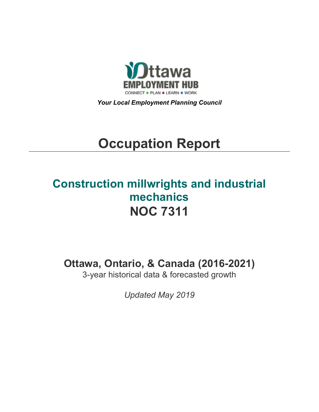

*Your Local Employment Planning Council*

# **Occupation Report**

# **Construction millwrights and industrial mechanics NOC 7311**

**Ottawa, Ontario, & Canada (2016-2021)**

3-year historical data & forecasted growth

*Updated May 2019*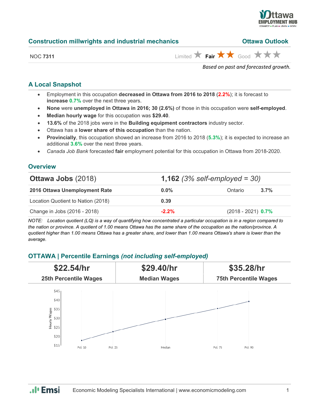

| Limited $\star$ Fair $\star \star$ Good $\star \star \star$<br>NOC 7311 | Based on past and forecasted growth. |
|-------------------------------------------------------------------------|--------------------------------------|
|                                                                         |                                      |

**Construction millwrights and industrial mechanics Construction Mullet Construction millwrights and industrial mechanics** 

# **A Local Snapshot**

- Employment in this occupation **decreased in Ottawa from 2016 to 2018** (**2.2%**); it is forecast to **increase 0.7%** over the next three years.
- **None** were **unemployed in Ottawa in 2016; 30 (2.6%)** of those in this occupation were **self-employed**.
- **Median hourly wage** for this occupation was **\$29.40**.
- **13.6%** of the 2018 jobs were in the **Building equipment contractors** industry sector.
- Ottawa has a **lower share of this occupation** than the nation.
- **Provincially**, this occupation showed an increase from 2016 to 2018 (**5.3%**); it is expected to increase an additional **3.6%** over the next three years.
- *Canada Job Bank* forecasted **fair** employment potential for this occupation in Ottawa from 2018-2020.

# **Overview**

| <b>Ottawa Jobs (2018)</b>          | <b>1,162</b> (3% self-employed = 30) |                      |      |  |
|------------------------------------|--------------------------------------|----------------------|------|--|
| 2016 Ottawa Unemployment Rate      | $0.0\%$                              | Ontario              | 3.7% |  |
| Location Quotient to Nation (2018) | 0.39                                 |                      |      |  |
| Change in Jobs (2016 - 2018)       | $-2.2%$                              | $(2018 - 2021)$ 0.7% |      |  |

*NOTE: Location quotient (LQ) is a way of quantifying how concentrated a particular occupation is in a region compared to the nation or province. A quotient of 1.00 means Ottawa has the same share of the occupation as the nation/province. A quotient higher than 1.00 means Ottawa has a greater share, and lower than 1.00 means Ottawa's share is lower than the average.*

### **OTTAWA | Percentile Earnings** *(not including self-employed)*

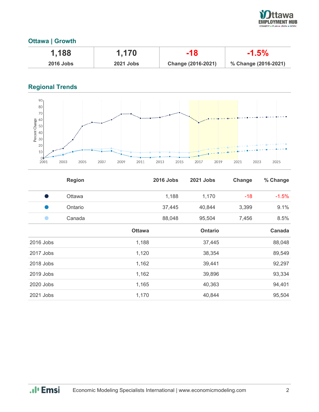

## **Ottawa | Growth**

| 1,188            | 1,170            | -18                | $-1.5\%$             |
|------------------|------------------|--------------------|----------------------|
| <b>2016 Jobs</b> | <b>2021 Jobs</b> | Change (2016-2021) | % Change (2016-2021) |

# **Regional Trends**



|           | <b>Region</b> |               | <b>2016 Jobs</b> | 2021 Jobs | Change | % Change |
|-----------|---------------|---------------|------------------|-----------|--------|----------|
| D         | Ottawa        |               | 1,188            | 1,170     | -18    | $-1.5%$  |
| œ         | Ontario       |               | 37,445           | 40,844    | 3,399  | 9.1%     |
|           | Canada        |               | 88,048           | 95,504    | 7,456  | 8.5%     |
|           |               | <b>Ottawa</b> |                  | Ontario   |        | Canada   |
| 2016 Jobs |               | 1,188         |                  | 37,445    |        | 88,048   |
| 2017 Jobs |               | 1,120         |                  | 38,354    |        | 89,549   |
| 2018 Jobs |               | 1,162         |                  | 39,441    |        | 92,297   |
| 2019 Jobs |               | 1,162         |                  | 39,896    |        | 93,334   |
| 2020 Jobs |               | 1,165         |                  | 40,363    |        | 94,401   |
| 2021 Jobs |               | 1,170         |                  | 40,844    |        | 95,504   |

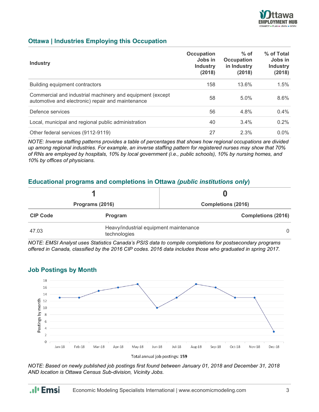

### **Ottawa | Industries Employing this Occupation**

| <b>Industry</b>                                                                                                | Occupation<br>Jobs in<br><b>Industry</b><br>(2018) | $%$ of<br><b>Occupation</b><br>in Industry<br>(2018) | % of Total<br>Jobs in<br><b>Industry</b><br>(2018) |
|----------------------------------------------------------------------------------------------------------------|----------------------------------------------------|------------------------------------------------------|----------------------------------------------------|
| Building equipment contractors                                                                                 | 158                                                | 13.6%                                                | 1.5%                                               |
| Commercial and industrial machinery and equipment (except<br>automotive and electronic) repair and maintenance | 58                                                 | 5.0%                                                 | 8.6%                                               |
| Defence services                                                                                               | 56                                                 | 4.8%                                                 | $0.4\%$                                            |
| Local, municipal and regional public administration                                                            | 40                                                 | 3.4%                                                 | $0.2\%$                                            |
| Other federal services (9112-9119)                                                                             | 27                                                 | 2.3%                                                 | $0.0\%$                                            |

*NOTE: Inverse staffing patterns provides a table of percentages that shows how regional occupations are divided up among regional industries. For example, an inverse staffing pattern for registered nurses may show that 70% of RNs are employed by hospitals, 10% by local government (i.e., public schools), 10% by nursing homes, and 10% by offices of physicians.*

### **Educational programs and completions in Ottawa** *(public institutions only***)**

| Programs (2016) |                                                        |                           |  |
|-----------------|--------------------------------------------------------|---------------------------|--|
|                 |                                                        | <b>Completions (2016)</b> |  |
| <b>CIP Code</b> | <b>Program</b>                                         | <b>Completions (2016)</b> |  |
| 47.03           | Heavy/industrial equipment maintenance<br>technologies | $\Omega$                  |  |

*NOTE: EMSI Analyst uses Statistics Canada's PSIS data to compile completions for postsecondary programs offered in Canada, classified by the 2016 CIP codes. 2016 data includes those who graduated in spring 2017.*



#### **Job Postings by Month**

.**.**I<sub>I</sub> Emsi

*NOTE: Based on newly published job postings first found between January 01, 2018 and December 31, 2018 AND location is Ottawa Census Sub-division, Vicinity Jobs.*